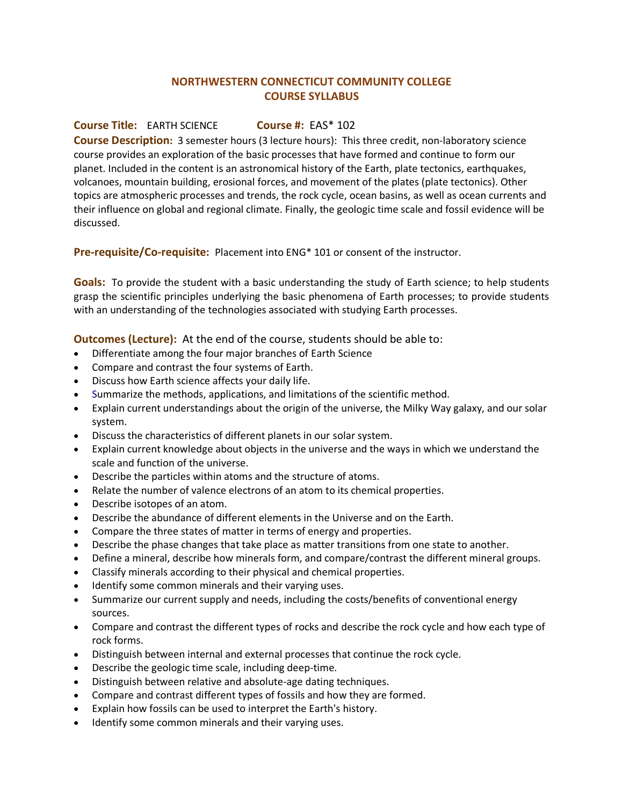## **NORTHWESTERN CONNECTICUT COMMUNITY COLLEGE COURSE SYLLABUS**

## **Course Title:** EARTH SCIENCE **Course #:** EAS\* 102

**Course Description:** 3 semester hours (3 lecture hours): This three credit, non-laboratory science course provides an exploration of the basic processes that have formed and continue to form our planet. Included in the content is an astronomical history of the Earth, plate tectonics, earthquakes, volcanoes, mountain building, erosional forces, and movement of the plates (plate tectonics). Other topics are atmospheric processes and trends, the rock cycle, ocean basins, as well as ocean currents and their influence on global and regional climate. Finally, the geologic time scale and fossil evidence will be discussed.

**Pre-requisite/Co-requisite:** Placement into ENG\* 101 or consent of the instructor.

**Goals:** To provide the student with a basic understanding the study of Earth science; to help students grasp the scientific principles underlying the basic phenomena of Earth processes; to provide students with an understanding of the technologies associated with studying Earth processes.

**Outcomes (Lecture):** At the end of the course, students should be able to:

- Differentiate among the four major branches of Earth Science
- Compare and contrast the four systems of Earth.
- Discuss how Earth science affects your daily life.
- Summarize the methods, applications, and limitations of the scientific method.
- Explain current understandings about the origin of the universe, the Milky Way galaxy, and our solar system.
- Discuss the characteristics of different planets in our solar system.
- Explain current knowledge about objects in the universe and the ways in which we understand the scale and function of the universe.
- Describe the particles within atoms and the structure of atoms.
- Relate the number of valence electrons of an atom to its chemical properties.
- Describe isotopes of an atom.
- Describe the abundance of different elements in the Universe and on the Earth.
- Compare the three states of matter in terms of energy and properties.
- Describe the phase changes that take place as matter transitions from one state to another.
- Define a mineral, describe how minerals form, and compare/contrast the different mineral groups.
- Classify minerals according to their physical and chemical properties.
- Identify some common minerals and their varying uses.
- Summarize our current supply and needs, including the costs/benefits of conventional energy sources.
- Compare and contrast the different types of rocks and describe the rock cycle and how each type of rock forms.
- Distinguish between internal and external processes that continue the rock cycle.
- Describe the geologic time scale, including deep-time.
- Distinguish between relative and absolute-age dating techniques.
- Compare and contrast different types of fossils and how they are formed.
- Explain how fossils can be used to interpret the Earth's history.
- Identify some common minerals and their varying uses.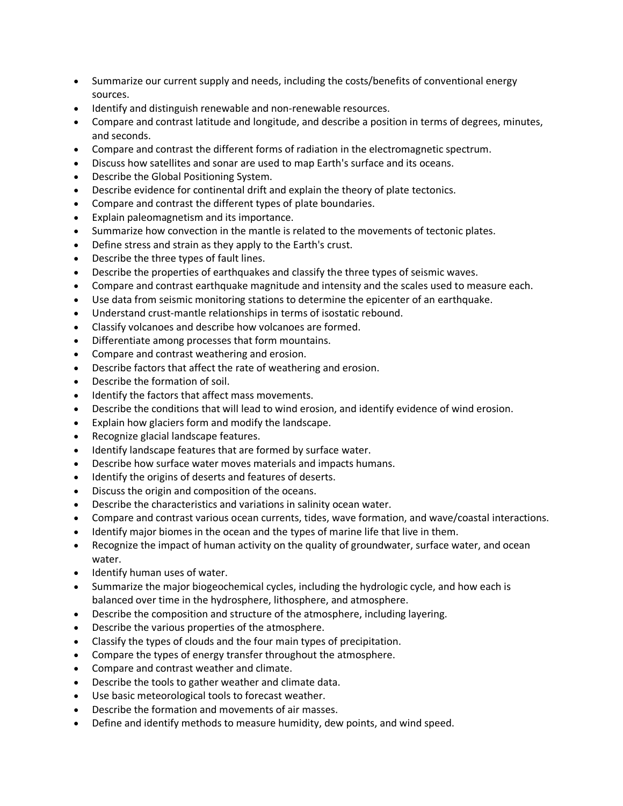- Summarize our current supply and needs, including the costs/benefits of conventional energy sources.
- Identify and distinguish renewable and non-renewable resources.
- Compare and contrast latitude and longitude, and describe a position in terms of degrees, minutes, and seconds.
- Compare and contrast the different forms of radiation in the electromagnetic spectrum.
- Discuss how satellites and sonar are used to map Earth's surface and its oceans.
- Describe the Global Positioning System.
- Describe evidence for continental drift and explain the theory of plate tectonics.
- Compare and contrast the different types of plate boundaries.
- Explain paleomagnetism and its importance.
- Summarize how convection in the mantle is related to the movements of tectonic plates.
- Define stress and strain as they apply to the Earth's crust.
- Describe the three types of fault lines.
- Describe the properties of earthquakes and classify the three types of seismic waves.
- Compare and contrast earthquake magnitude and intensity and the scales used to measure each.
- Use data from seismic monitoring stations to determine the epicenter of an earthquake.
- Understand crust-mantle relationships in terms of isostatic rebound.
- Classify volcanoes and describe how volcanoes are formed.
- Differentiate among processes that form mountains.
- Compare and contrast weathering and erosion.
- Describe factors that affect the rate of weathering and erosion.
- Describe the formation of soil.
- Identify the factors that affect mass movements.
- Describe the conditions that will lead to wind erosion, and identify evidence of wind erosion.
- Explain how glaciers form and modify the landscape.
- Recognize glacial landscape features.
- Identify landscape features that are formed by surface water.
- Describe how surface water moves materials and impacts humans.
- Identify the origins of deserts and features of deserts.
- Discuss the origin and composition of the oceans.
- Describe the characteristics and variations in salinity ocean water.
- Compare and contrast various ocean currents, tides, wave formation, and wave/coastal interactions.
- Identify major biomes in the ocean and the types of marine life that live in them.
- Recognize the impact of human activity on the quality of groundwater, surface water, and ocean water.
- Identify human uses of water.
- Summarize the major biogeochemical cycles, including the hydrologic cycle, and how each is balanced over time in the hydrosphere, lithosphere, and atmosphere.
- Describe the composition and structure of the atmosphere, including layering.
- Describe the various properties of the atmosphere.
- Classify the types of clouds and the four main types of precipitation.
- Compare the types of energy transfer throughout the atmosphere.
- Compare and contrast weather and climate.
- Describe the tools to gather weather and climate data.
- Use basic meteorological tools to forecast weather.
- Describe the formation and movements of air masses.
- Define and identify methods to measure humidity, dew points, and wind speed.